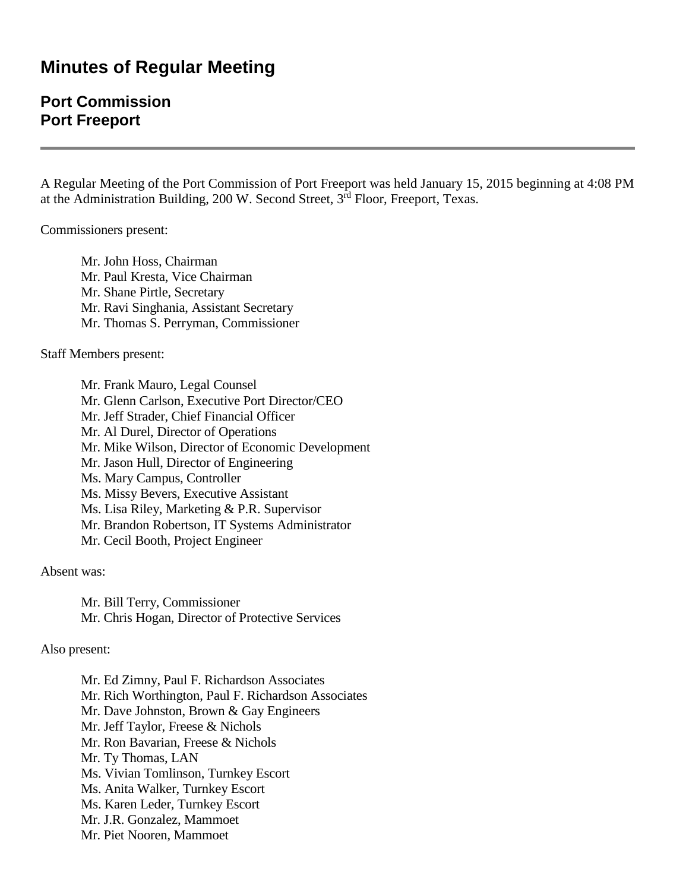## **Minutes of Regular Meeting**

## **Port Commission Port Freeport**

A Regular Meeting of the Port Commission of Port Freeport was held January 15, 2015 beginning at 4:08 PM at the Administration Building,  $200 \text{ W}$ . Second Street,  $3^{\text{rd}}$  Floor, Freeport, Texas.

Commissioners present:

Mr. John Hoss, Chairman Mr. Paul Kresta, Vice Chairman Mr. Shane Pirtle, Secretary Mr. Ravi Singhania, Assistant Secretary Mr. Thomas S. Perryman, Commissioner

Staff Members present:

Mr. Frank Mauro, Legal Counsel Mr. Glenn Carlson, Executive Port Director/CEO Mr. Jeff Strader, Chief Financial Officer Mr. Al Durel, Director of Operations Mr. Mike Wilson, Director of Economic Development Mr. Jason Hull, Director of Engineering Ms. Mary Campus, Controller Ms. Missy Bevers, Executive Assistant Ms. Lisa Riley, Marketing & P.R. Supervisor Mr. Brandon Robertson, IT Systems Administrator Mr. Cecil Booth, Project Engineer

Absent was:

Mr. Bill Terry, Commissioner Mr. Chris Hogan, Director of Protective Services

Also present:

Mr. Ed Zimny, Paul F. Richardson Associates Mr. Rich Worthington, Paul F. Richardson Associates Mr. Dave Johnston, Brown & Gay Engineers Mr. Jeff Taylor, Freese & Nichols Mr. Ron Bavarian, Freese & Nichols Mr. Ty Thomas, LAN Ms. Vivian Tomlinson, Turnkey Escort Ms. Anita Walker, Turnkey Escort Ms. Karen Leder, Turnkey Escort Mr. J.R. Gonzalez, Mammoet Mr. Piet Nooren, Mammoet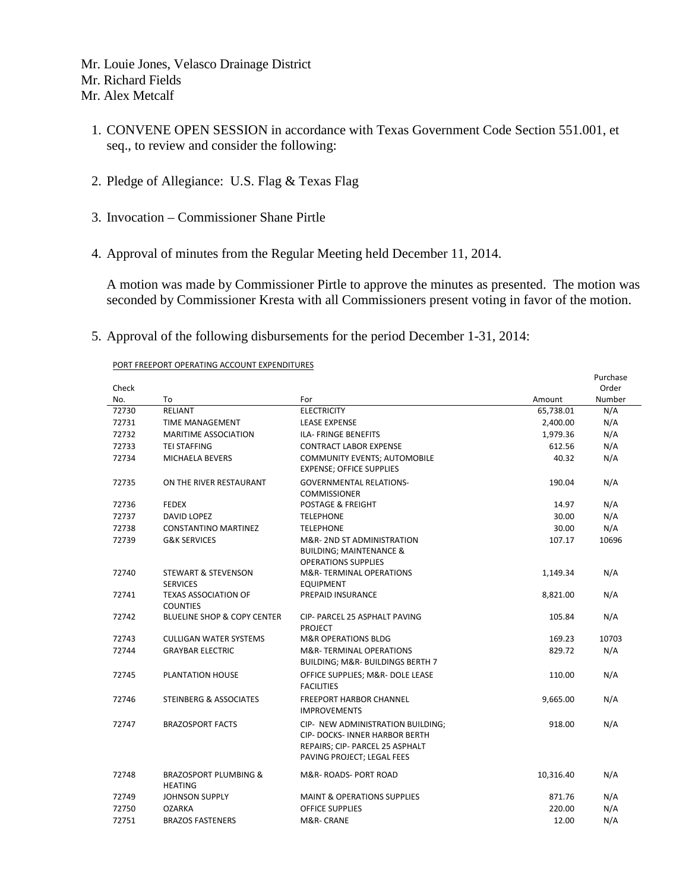Mr. Louie Jones, Velasco Drainage District Mr. Richard Fields Mr. Alex Metcalf

- 1. CONVENE OPEN SESSION in accordance with Texas Government Code Section 551.001, et seq., to review and consider the following:
- 2. Pledge of Allegiance: U.S. Flag & Texas Flag
- 3. Invocation Commissioner Shane Pirtle
- 4. Approval of minutes from the Regular Meeting held December 11, 2014.

A motion was made by Commissioner Pirtle to approve the minutes as presented. The motion was seconded by Commissioner Kresta with all Commissioners present voting in favor of the motion.

5. Approval of the following disbursements for the period December 1-31, 2014:

PORT FREEPORT OPERATING ACCOUNT EXPENDITURES

|       |                                                    |                                                                                                                                             |           | Purchase |
|-------|----------------------------------------------------|---------------------------------------------------------------------------------------------------------------------------------------------|-----------|----------|
| Check |                                                    |                                                                                                                                             |           | Order    |
| No.   | To                                                 | For                                                                                                                                         | Amount    | Number   |
| 72730 | <b>RELIANT</b>                                     | <b>ELECTRICITY</b>                                                                                                                          | 65,738.01 | N/A      |
| 72731 | <b>TIME MANAGEMENT</b>                             | <b>LEASE EXPENSE</b>                                                                                                                        | 2,400.00  | N/A      |
| 72732 | <b>MARITIME ASSOCIATION</b>                        | ILA- FRINGE BENEFITS                                                                                                                        | 1,979.36  | N/A      |
| 72733 | <b>TEI STAFFING</b>                                | <b>CONTRACT LABOR EXPENSE</b>                                                                                                               | 612.56    | N/A      |
| 72734 | <b>MICHAELA BEVERS</b>                             | COMMUNITY EVENTS; AUTOMOBILE<br><b>EXPENSE; OFFICE SUPPLIES</b>                                                                             | 40.32     | N/A      |
| 72735 | ON THE RIVER RESTAURANT                            | <b>GOVERNMENTAL RELATIONS-</b><br><b>COMMISSIONER</b>                                                                                       | 190.04    | N/A      |
| 72736 | <b>FEDEX</b>                                       | POSTAGE & FREIGHT                                                                                                                           | 14.97     | N/A      |
| 72737 | <b>DAVID LOPEZ</b>                                 | <b>TELEPHONE</b>                                                                                                                            | 30.00     | N/A      |
| 72738 | <b>CONSTANTINO MARTINEZ</b>                        | <b>TELEPHONE</b>                                                                                                                            | 30.00     | N/A      |
| 72739 | <b>G&amp;K SERVICES</b>                            | M&R-2ND ST ADMINISTRATION<br><b>BUILDING; MAINTENANCE &amp;</b><br><b>OPERATIONS SUPPLIES</b>                                               | 107.17    | 10696    |
| 72740 | <b>STEWART &amp; STEVENSON</b><br><b>SERVICES</b>  | M&R-TERMINAL OPERATIONS<br><b>EQUIPMENT</b>                                                                                                 | 1,149.34  | N/A      |
| 72741 | <b>TEXAS ASSOCIATION OF</b><br><b>COUNTIES</b>     | PREPAID INSURANCE                                                                                                                           | 8,821.00  | N/A      |
| 72742 | <b>BLUELINE SHOP &amp; COPY CENTER</b>             | CIP- PARCEL 25 ASPHALT PAVING<br><b>PROJECT</b>                                                                                             | 105.84    | N/A      |
| 72743 | <b>CULLIGAN WATER SYSTEMS</b>                      | <b>M&amp;R OPERATIONS BLDG</b>                                                                                                              | 169.23    | 10703    |
| 72744 | <b>GRAYBAR ELECTRIC</b>                            | M&R-TERMINAL OPERATIONS<br>BUILDING; M&R- BUILDINGS BERTH 7                                                                                 | 829.72    | N/A      |
| 72745 | PLANTATION HOUSE                                   | OFFICE SUPPLIES; M&R- DOLE LEASE<br><b>FACILITIES</b>                                                                                       | 110.00    | N/A      |
| 72746 | <b>STEINBERG &amp; ASSOCIATES</b>                  | <b>FREEPORT HARBOR CHANNEL</b><br><b>IMPROVEMENTS</b>                                                                                       | 9,665.00  | N/A      |
| 72747 | <b>BRAZOSPORT FACTS</b>                            | CIP- NEW ADMINISTRATION BUILDING:<br><b>CIP- DOCKS- INNER HARBOR BERTH</b><br>REPAIRS; CIP- PARCEL 25 ASPHALT<br>PAVING PROJECT; LEGAL FEES | 918.00    | N/A      |
| 72748 | <b>BRAZOSPORT PLUMBING &amp;</b><br><b>HEATING</b> | M&R-ROADS-PORT ROAD                                                                                                                         | 10,316.40 | N/A      |
| 72749 | <b>JOHNSON SUPPLY</b>                              | <b>MAINT &amp; OPERATIONS SUPPLIES</b>                                                                                                      | 871.76    | N/A      |
| 72750 | <b>OZARKA</b>                                      | <b>OFFICE SUPPLIES</b>                                                                                                                      | 220.00    | N/A      |
| 72751 | <b>BRAZOS FASTENERS</b>                            | M&R-CRANE                                                                                                                                   | 12.00     | N/A      |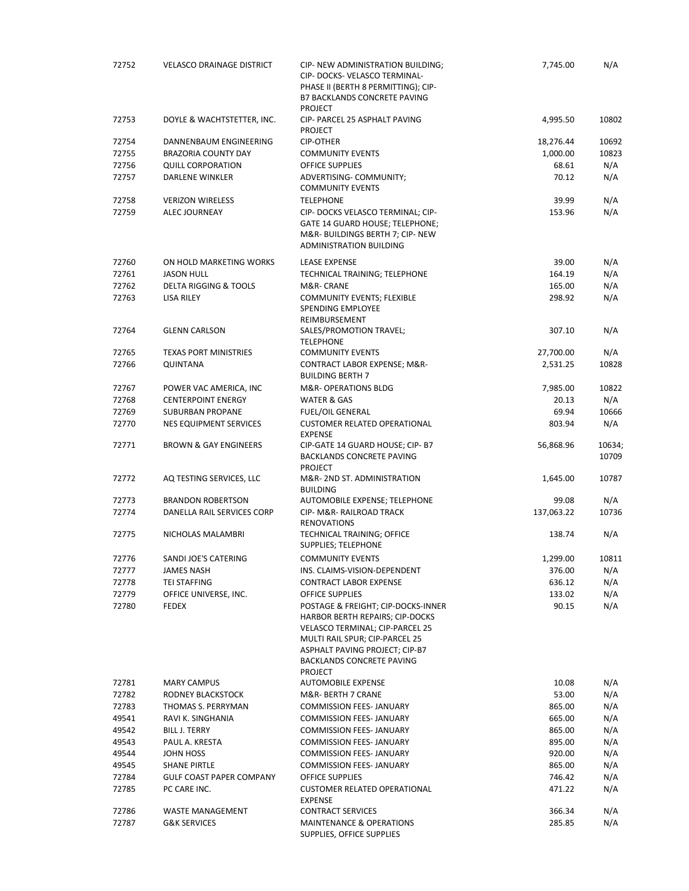| 72752          | <b>VELASCO DRAINAGE DISTRICT</b>                                  | CIP- NEW ADMINISTRATION BUILDING;<br>CIP- DOCKS- VELASCO TERMINAL-<br>PHASE II (BERTH 8 PERMITTING); CIP-<br><b>B7 BACKLANDS CONCRETE PAVING</b>                                                           | 7,745.00         | N/A           |
|----------------|-------------------------------------------------------------------|------------------------------------------------------------------------------------------------------------------------------------------------------------------------------------------------------------|------------------|---------------|
| 72753          | DOYLE & WACHTSTETTER, INC.                                        | <b>PROJECT</b><br>CIP- PARCEL 25 ASPHALT PAVING<br><b>PROJECT</b>                                                                                                                                          | 4,995.50         | 10802         |
| 72754          | DANNENBAUM ENGINEERING                                            | <b>CIP-OTHER</b>                                                                                                                                                                                           | 18,276.44        | 10692         |
| 72755          | BRAZORIA COUNTY DAY                                               | <b>COMMUNITY EVENTS</b>                                                                                                                                                                                    | 1,000.00         | 10823         |
| 72756          | <b>QUILL CORPORATION</b>                                          | OFFICE SUPPLIES                                                                                                                                                                                            | 68.61            | N/A           |
| 72757          | <b>DARLENE WINKLER</b>                                            | ADVERTISING- COMMUNITY;<br><b>COMMUNITY EVENTS</b>                                                                                                                                                         | 70.12            | N/A           |
| 72758          | <b>VERIZON WIRELESS</b>                                           | <b>TELEPHONE</b>                                                                                                                                                                                           | 39.99            | N/A           |
| 72759          | <b>ALEC JOURNEAY</b>                                              | CIP- DOCKS VELASCO TERMINAL; CIP-<br>GATE 14 GUARD HOUSE; TELEPHONE;<br>M&R-BUILDINGS BERTH 7; CIP-NEW<br><b>ADMINISTRATION BUILDING</b>                                                                   | 153.96           | N/A           |
| 72760          | ON HOLD MARKETING WORKS                                           | <b>LEASE EXPENSE</b>                                                                                                                                                                                       | 39.00            | N/A           |
| 72761          | <b>JASON HULL</b>                                                 | TECHNICAL TRAINING; TELEPHONE                                                                                                                                                                              | 164.19           | N/A           |
| 72762          | <b>DELTA RIGGING &amp; TOOLS</b>                                  | M&R- CRANE                                                                                                                                                                                                 | 165.00           | N/A           |
| 72763          | LISA RILEY                                                        | <b>COMMUNITY EVENTS; FLEXIBLE</b><br>SPENDING EMPLOYEE<br>REIMBURSEMENT                                                                                                                                    | 298.92           | N/A           |
| 72764          | <b>GLENN CARLSON</b>                                              | SALES/PROMOTION TRAVEL;<br><b>TELEPHONE</b>                                                                                                                                                                | 307.10           | N/A           |
| 72765          | <b>TEXAS PORT MINISTRIES</b>                                      | <b>COMMUNITY EVENTS</b>                                                                                                                                                                                    | 27,700.00        | N/A           |
| 72766          | <b>QUINTANA</b>                                                   | CONTRACT LABOR EXPENSE; M&R-<br><b>BUILDING BERTH 7</b>                                                                                                                                                    | 2,531.25         | 10828         |
| 72767          | POWER VAC AMERICA, INC                                            | M&R- OPERATIONS BLDG                                                                                                                                                                                       | 7,985.00         | 10822         |
| 72768          | <b>CENTERPOINT ENERGY</b>                                         | WATER & GAS                                                                                                                                                                                                | 20.13            | N/A           |
| 72769          | <b>SUBURBAN PROPANE</b>                                           | <b>FUEL/OIL GENERAL</b>                                                                                                                                                                                    | 69.94            | 10666         |
| 72770<br>72771 | <b>NES EQUIPMENT SERVICES</b><br><b>BROWN &amp; GAY ENGINEERS</b> | <b>CUSTOMER RELATED OPERATIONAL</b><br><b>EXPENSE</b><br>CIP-GATE 14 GUARD HOUSE; CIP- B7                                                                                                                  | 803.94           | N/A<br>10634; |
|                |                                                                   | <b>BACKLANDS CONCRETE PAVING</b><br><b>PROJECT</b>                                                                                                                                                         | 56,868.96        | 10709         |
| 72772          | AQ TESTING SERVICES, LLC                                          | M&R-2ND ST. ADMINISTRATION<br><b>BUILDING</b>                                                                                                                                                              | 1,645.00         | 10787         |
| 72773          | <b>BRANDON ROBERTSON</b>                                          | AUTOMOBILE EXPENSE; TELEPHONE                                                                                                                                                                              | 99.08            | N/A           |
| 72774          | DANELLA RAIL SERVICES CORP                                        | CIP- M&R- RAILROAD TRACK                                                                                                                                                                                   | 137,063.22       | 10736         |
| 72775          | NICHOLAS MALAMBRI                                                 | <b>RENOVATIONS</b><br>TECHNICAL TRAINING; OFFICE                                                                                                                                                           | 138.74           | N/A           |
|                |                                                                   | SUPPLIES; TELEPHONE                                                                                                                                                                                        |                  |               |
| 72776          | SANDI JOE'S CATERING                                              | <b>COMMUNITY EVENTS</b>                                                                                                                                                                                    | 1,299.00         | 10811         |
| 72777          | <b>JAMES NASH</b>                                                 | INS. CLAIMS-VISION-DEPENDENT                                                                                                                                                                               | 376.00           | N/A           |
| 72778          | <b>TEI STAFFING</b>                                               | <b>CONTRACT LABOR EXPENSE</b>                                                                                                                                                                              | 636.12           | N/A           |
| 72779<br>72780 | OFFICE UNIVERSE, INC.<br><b>FEDEX</b>                             | OFFICE SUPPLIES<br>POSTAGE & FREIGHT; CIP-DOCKS-INNER                                                                                                                                                      | 133.02<br>90.15  | N/A<br>N/A    |
|                |                                                                   | <b>HARBOR BERTH REPAIRS; CIP-DOCKS</b><br>VELASCO TERMINAL; CIP-PARCEL 25<br>MULTI RAIL SPUR; CIP-PARCEL 25<br><b>ASPHALT PAVING PROJECT; CIP-B7</b><br><b>BACKLANDS CONCRETE PAVING</b><br><b>PROJECT</b> |                  |               |
| 72781          | <b>MARY CAMPUS</b>                                                | <b>AUTOMOBILE EXPENSE</b>                                                                                                                                                                                  | 10.08            | N/A           |
| 72782          | RODNEY BLACKSTOCK                                                 | M&R- BERTH 7 CRANE                                                                                                                                                                                         | 53.00            | N/A           |
| 72783          | THOMAS S. PERRYMAN                                                | <b>COMMISSION FEES- JANUARY</b>                                                                                                                                                                            | 865.00           | N/A           |
| 49541          | RAVI K. SINGHANIA                                                 | <b>COMMISSION FEES- JANUARY</b>                                                                                                                                                                            | 665.00           | N/A           |
| 49542          | <b>BILL J. TERRY</b>                                              | <b>COMMISSION FEES- JANUARY</b>                                                                                                                                                                            | 865.00           | N/A           |
| 49543          | PAUL A. KRESTA                                                    | <b>COMMISSION FEES- JANUARY</b>                                                                                                                                                                            | 895.00           | N/A           |
| 49544<br>49545 | JOHN HOSS<br><b>SHANE PIRTLE</b>                                  | <b>COMMISSION FEES- JANUARY</b><br><b>COMMISSION FEES- JANUARY</b>                                                                                                                                         | 920.00<br>865.00 | N/A<br>N/A    |
| 72784          | <b>GULF COAST PAPER COMPANY</b>                                   | <b>OFFICE SUPPLIES</b>                                                                                                                                                                                     | 746.42           | N/A           |
| 72785          | PC CARE INC.                                                      | <b>CUSTOMER RELATED OPERATIONAL</b>                                                                                                                                                                        | 471.22           | N/A           |
| 72786          | <b>WASTE MANAGEMENT</b>                                           | <b>EXPENSE</b><br><b>CONTRACT SERVICES</b>                                                                                                                                                                 | 366.34           | N/A           |
| 72787          | <b>G&amp;K SERVICES</b>                                           | <b>MAINTENANCE &amp; OPERATIONS</b>                                                                                                                                                                        | 285.85           | N/A           |
|                |                                                                   | SUPPLIES, OFFICE SUPPLIES                                                                                                                                                                                  |                  |               |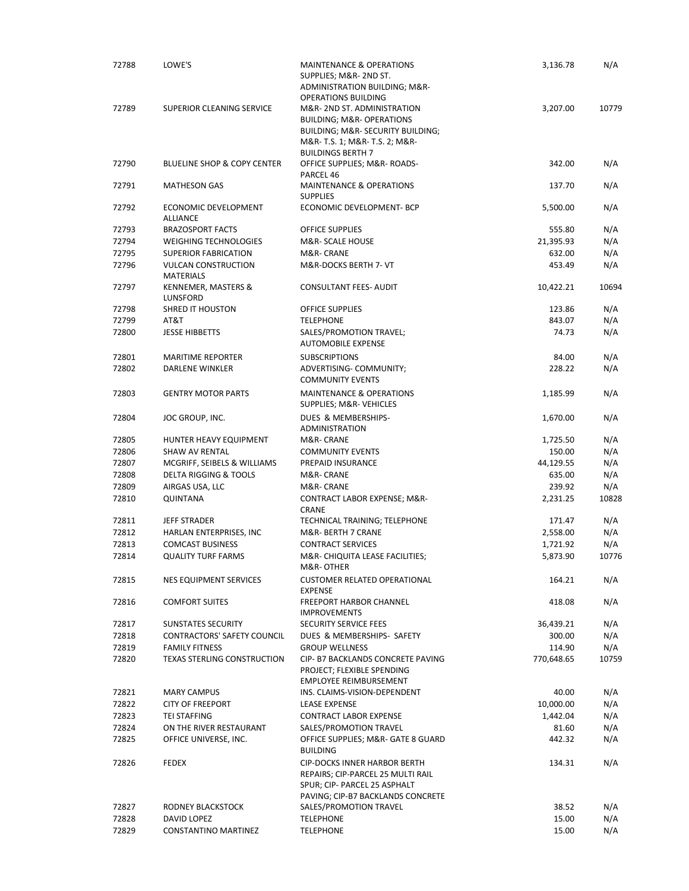| 72788          | LOWE'S                                  | <b>MAINTENANCE &amp; OPERATIONS</b><br>SUPPLIES; M&R- 2ND ST.     | 3,136.78       | N/A        |
|----------------|-----------------------------------------|-------------------------------------------------------------------|----------------|------------|
|                |                                         | ADMINISTRATION BUILDING; M&R-<br><b>OPERATIONS BUILDING</b>       |                |            |
| 72789          | SUPERIOR CLEANING SERVICE               | M&R-2ND ST. ADMINISTRATION                                        | 3,207.00       | 10779      |
|                |                                         | <b>BUILDING; M&amp;R- OPERATIONS</b>                              |                |            |
|                |                                         | BUILDING; M&R- SECURITY BUILDING;                                 |                |            |
|                |                                         | M&R- T.S. 1; M&R- T.S. 2; M&R-<br><b>BUILDINGS BERTH 7</b>        |                |            |
| 72790          | <b>BLUELINE SHOP &amp; COPY CENTER</b>  | OFFICE SUPPLIES; M&R-ROADS-                                       | 342.00         | N/A        |
|                |                                         | PARCEL 46                                                         |                |            |
| 72791          | <b>MATHESON GAS</b>                     | <b>MAINTENANCE &amp; OPERATIONS</b><br><b>SUPPLIES</b>            | 137.70         | N/A        |
| 72792          | ECONOMIC DEVELOPMENT                    | ECONOMIC DEVELOPMENT- BCP                                         | 5,500.00       | N/A        |
| 72793          | ALLIANCE<br><b>BRAZOSPORT FACTS</b>     | OFFICE SUPPLIES                                                   | 555.80         | N/A        |
| 72794          | <b>WEIGHING TECHNOLOGIES</b>            | M&R- SCALE HOUSE                                                  | 21,395.93      | N/A        |
| 72795          | <b>SUPERIOR FABRICATION</b>             | M&R- CRANE                                                        | 632.00         | N/A        |
| 72796          | <b>VULCAN CONSTRUCTION</b>              | M&R-DOCKS BERTH 7- VT                                             | 453.49         | N/A        |
| 72797          | <b>MATERIALS</b><br>KENNEMER, MASTERS & | CONSULTANT FEES- AUDIT                                            | 10,422.21      | 10694      |
|                | LUNSFORD                                |                                                                   |                |            |
| 72798          | <b>SHRED IT HOUSTON</b>                 | <b>OFFICE SUPPLIES</b>                                            | 123.86         | N/A        |
| 72799          | AT&T                                    | <b>TELEPHONE</b>                                                  | 843.07         | N/A        |
| 72800          | <b>JESSE HIBBETTS</b>                   | SALES/PROMOTION TRAVEL;<br><b>AUTOMOBILE EXPENSE</b>              | 74.73          | N/A        |
| 72801          | <b>MARITIME REPORTER</b>                | <b>SUBSCRIPTIONS</b>                                              | 84.00          | N/A        |
| 72802          | DARLENE WINKLER                         | ADVERTISING- COMMUNITY;                                           | 228.22         | N/A        |
|                |                                         | <b>COMMUNITY EVENTS</b>                                           |                |            |
| 72803          | <b>GENTRY MOTOR PARTS</b>               | <b>MAINTENANCE &amp; OPERATIONS</b><br>SUPPLIES; M&R-VEHICLES     | 1,185.99       | N/A        |
| 72804          | JOC GROUP, INC.                         | DUES & MEMBERSHIPS-<br><b>ADMINISTRATION</b>                      | 1,670.00       | N/A        |
| 72805          | HUNTER HEAVY EQUIPMENT                  | M&R- CRANE                                                        | 1,725.50       | N/A        |
| 72806          | SHAW AV RENTAL                          | <b>COMMUNITY EVENTS</b>                                           | 150.00         | N/A        |
| 72807          | MCGRIFF, SEIBELS & WILLIAMS             | PREPAID INSURANCE                                                 | 44,129.55      | N/A        |
| 72808          | <b>DELTA RIGGING &amp; TOOLS</b>        | M&R- CRANE                                                        | 635.00         | N/A        |
| 72809          | AIRGAS USA, LLC                         | M&R- CRANE                                                        | 239.92         | N/A        |
| 72810          | QUINTANA                                | CONTRACT LABOR EXPENSE; M&R-<br>CRANE                             | 2,231.25       | 10828      |
| 72811          | <b>JEFF STRADER</b>                     | TECHNICAL TRAINING; TELEPHONE                                     | 171.47         | N/A        |
| 72812          | HARLAN ENTERPRISES, INC                 | M&R- BERTH 7 CRANE                                                | 2,558.00       | N/A        |
| 72813          | <b>COMCAST BUSINESS</b>                 | <b>CONTRACT SERVICES</b>                                          | 1,721.92       | N/A        |
| 72814          | <b>QUALITY TURF FARMS</b>               | M&R- CHIQUITA LEASE FACILITIES;<br>M&R- OTHER                     | 5,873.90       | 10776      |
| 72815          | NES EQUIPMENT SERVICES                  | <b>CUSTOMER RELATED OPERATIONAL</b>                               | 164.21         | N/A        |
| 72816          | <b>COMFORT SUITES</b>                   | <b>EXPENSE</b><br><b>FREEPORT HARBOR CHANNEL</b>                  | 418.08         | N/A        |
|                |                                         | <b>IMPROVEMENTS</b>                                               |                |            |
| 72817          | <b>SUNSTATES SECURITY</b>               | SECURITY SERVICE FEES                                             | 36,439.21      | N/A        |
| 72818          | CONTRACTORS' SAFETY COUNCIL             | DUES & MEMBERSHIPS- SAFETY                                        | 300.00         | N/A        |
| 72819          | <b>FAMILY FITNESS</b>                   | <b>GROUP WELLNESS</b>                                             | 114.90         | N/A        |
| 72820          | <b>TEXAS STERLING CONSTRUCTION</b>      | CIP- B7 BACKLANDS CONCRETE PAVING<br>PROJECT; FLEXIBLE SPENDING   | 770,648.65     | 10759      |
|                |                                         | EMPLOYEE REIMBURSEMENT                                            |                |            |
| 72821          | <b>MARY CAMPUS</b>                      | INS. CLAIMS-VISION-DEPENDENT                                      | 40.00          | N/A        |
| 72822          | <b>CITY OF FREEPORT</b>                 | <b>LEASE EXPENSE</b>                                              | 10,000.00      | N/A        |
| 72823          | <b>TEI STAFFING</b>                     | <b>CONTRACT LABOR EXPENSE</b>                                     | 1,442.04       | N/A        |
| 72824          | ON THE RIVER RESTAURANT                 | SALES/PROMOTION TRAVEL                                            | 81.60          | N/A        |
| 72825          | OFFICE UNIVERSE, INC.                   | OFFICE SUPPLIES; M&R- GATE 8 GUARD<br><b>BUILDING</b>             | 442.32         | N/A        |
| 72826          | <b>FEDEX</b>                            | <b>CIP-DOCKS INNER HARBOR BERTH</b>                               | 134.31         | N/A        |
|                |                                         | REPAIRS; CIP-PARCEL 25 MULTI RAIL<br>SPUR; CIP- PARCEL 25 ASPHALT |                |            |
|                |                                         | PAVING; CIP-B7 BACKLANDS CONCRETE                                 |                |            |
| 72827          | RODNEY BLACKSTOCK                       | SALES/PROMOTION TRAVEL                                            | 38.52          | N/A        |
| 72828<br>72829 | DAVID LOPEZ<br>CONSTANTINO MARTINEZ     | <b>TELEPHONE</b><br><b>TELEPHONE</b>                              | 15.00<br>15.00 | N/A<br>N/A |
|                |                                         |                                                                   |                |            |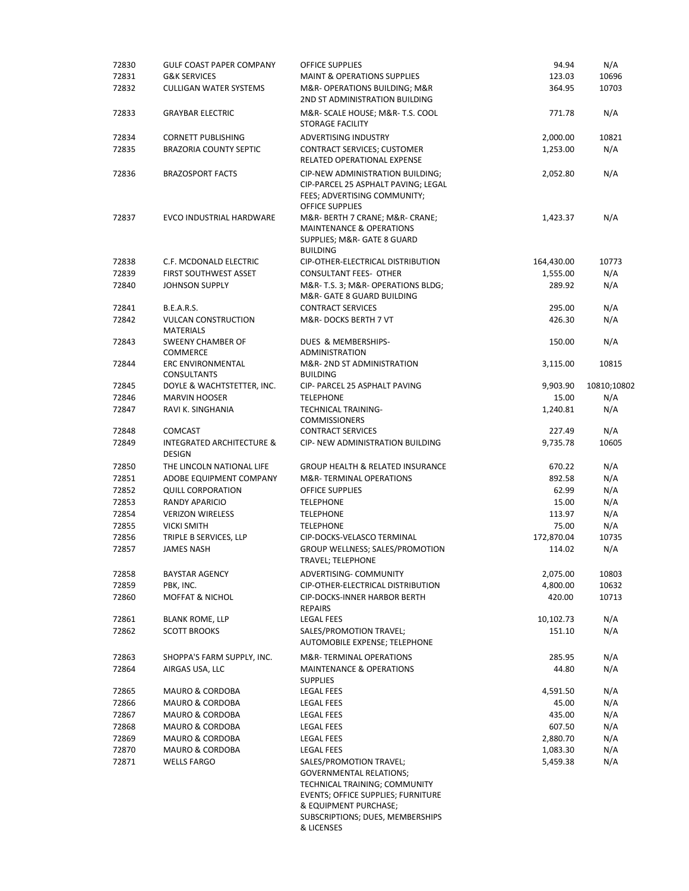| 72830 | <b>GULF COAST PAPER COMPANY</b>                       | <b>OFFICE SUPPLIES</b>                                                                                                                                                             | 94.94      | N/A         |
|-------|-------------------------------------------------------|------------------------------------------------------------------------------------------------------------------------------------------------------------------------------------|------------|-------------|
| 72831 | <b>G&amp;K SERVICES</b>                               | <b>MAINT &amp; OPERATIONS SUPPLIES</b>                                                                                                                                             | 123.03     | 10696       |
| 72832 | <b>CULLIGAN WATER SYSTEMS</b>                         | M&R- OPERATIONS BUILDING; M&R<br>2ND ST ADMINISTRATION BUILDING                                                                                                                    | 364.95     | 10703       |
| 72833 | <b>GRAYBAR ELECTRIC</b>                               | M&R- SCALE HOUSE; M&R- T.S. COOL<br><b>STORAGE FACILITY</b>                                                                                                                        | 771.78     | N/A         |
| 72834 | <b>CORNETT PUBLISHING</b>                             | <b>ADVERTISING INDUSTRY</b>                                                                                                                                                        | 2,000.00   | 10821       |
| 72835 | <b>BRAZORIA COUNTY SEPTIC</b>                         | CONTRACT SERVICES; CUSTOMER<br>RELATED OPERATIONAL EXPENSE                                                                                                                         | 1,253.00   | N/A         |
| 72836 | <b>BRAZOSPORT FACTS</b>                               | <b>CIP-NEW ADMINISTRATION BUILDING:</b><br>CIP-PARCEL 25 ASPHALT PAVING; LEGAL                                                                                                     | 2,052.80   | N/A         |
| 72837 | <b>EVCO INDUSTRIAL HARDWARE</b>                       | FEES; ADVERTISING COMMUNITY;<br><b>OFFICE SUPPLIES</b><br>M&R- BERTH 7 CRANE; M&R- CRANE;<br><b>MAINTENANCE &amp; OPERATIONS</b><br>SUPPLIES; M&R- GATE 8 GUARD<br><b>BUILDING</b> | 1,423.37   | N/A         |
| 72838 | C.F. MCDONALD ELECTRIC                                | CIP-OTHER-ELECTRICAL DISTRIBUTION                                                                                                                                                  | 164,430.00 | 10773       |
| 72839 | FIRST SOUTHWEST ASSET                                 | <b>CONSULTANT FEES- OTHER</b>                                                                                                                                                      | 1,555.00   | N/A         |
| 72840 | <b>JOHNSON SUPPLY</b>                                 | M&R- T.S. 3; M&R- OPERATIONS BLDG;<br>M&R- GATE 8 GUARD BUILDING                                                                                                                   | 289.92     | N/A         |
| 72841 | <b>B.E.A.R.S.</b>                                     | <b>CONTRACT SERVICES</b>                                                                                                                                                           | 295.00     | N/A         |
| 72842 | <b>VULCAN CONSTRUCTION</b><br><b>MATERIALS</b>        | M&R-DOCKS BERTH 7 VT                                                                                                                                                               | 426.30     | N/A         |
| 72843 | SWEENY CHAMBER OF<br><b>COMMERCE</b>                  | DUES & MEMBERSHIPS-<br><b>ADMINISTRATION</b>                                                                                                                                       | 150.00     | N/A         |
| 72844 | ERC ENVIRONMENTAL<br><b>CONSULTANTS</b>               | M&R-2ND ST ADMINISTRATION<br><b>BUILDING</b>                                                                                                                                       | 3,115.00   | 10815       |
| 72845 | DOYLE & WACHTSTETTER, INC.                            | CIP- PARCEL 25 ASPHALT PAVING                                                                                                                                                      | 9,903.90   | 10810;10802 |
| 72846 | <b>MARVIN HOOSER</b>                                  | <b>TELEPHONE</b>                                                                                                                                                                   | 15.00      | N/A         |
| 72847 | RAVI K. SINGHANIA                                     | <b>TECHNICAL TRAINING-</b><br><b>COMMISSIONERS</b>                                                                                                                                 | 1,240.81   | N/A         |
| 72848 | <b>COMCAST</b>                                        | <b>CONTRACT SERVICES</b>                                                                                                                                                           | 227.49     | N/A         |
| 72849 | <b>INTEGRATED ARCHITECTURE &amp;</b><br><b>DESIGN</b> | CIP- NEW ADMINISTRATION BUILDING                                                                                                                                                   | 9,735.78   | 10605       |
| 72850 | THE LINCOLN NATIONAL LIFE                             | <b>GROUP HEALTH &amp; RELATED INSURANCE</b>                                                                                                                                        | 670.22     | N/A         |
| 72851 | ADOBE EQUIPMENT COMPANY                               | M&R-TERMINAL OPERATIONS                                                                                                                                                            | 892.58     | N/A         |
| 72852 | <b>QUILL CORPORATION</b>                              | <b>OFFICE SUPPLIES</b>                                                                                                                                                             | 62.99      | N/A         |
| 72853 | RANDY APARICIO                                        | <b>TELEPHONE</b>                                                                                                                                                                   | 15.00      | N/A         |
| 72854 | <b>VERIZON WIRELESS</b>                               | <b>TELEPHONE</b>                                                                                                                                                                   | 113.97     | N/A         |
| 72855 | <b>VICKI SMITH</b>                                    | <b>TELEPHONE</b>                                                                                                                                                                   | 75.00      | N/A         |
| 72856 | TRIPLE B SERVICES, LLP                                | CIP-DOCKS-VELASCO TERMINAL                                                                                                                                                         | 172,870.04 | 10735       |
| 72857 | <b>JAMES NASH</b>                                     | GROUP WELLNESS; SALES/PROMOTION<br>TRAVEL; TELEPHONE                                                                                                                               | 114.02     | N/A         |
| 72858 | <b>BAYSTAR AGENCY</b>                                 | ADVERTISING- COMMUNITY                                                                                                                                                             | 2,075.00   | 10803       |
| 72859 | PBK, INC.                                             | CIP-OTHER-ELECTRICAL DISTRIBUTION                                                                                                                                                  | 4,800.00   | 10632       |
| 72860 | <b>MOFFAT &amp; NICHOL</b>                            | <b>CIP-DOCKS-INNER HARBOR BERTH</b><br><b>REPAIRS</b>                                                                                                                              | 420.00     | 10713       |
| 72861 | <b>BLANK ROME, LLP</b>                                | <b>LEGAL FEES</b>                                                                                                                                                                  | 10,102.73  | N/A         |
| 72862 | <b>SCOTT BROOKS</b>                                   | SALES/PROMOTION TRAVEL;<br>AUTOMOBILE EXPENSE; TELEPHONE                                                                                                                           | 151.10     | N/A         |
| 72863 | SHOPPA'S FARM SUPPLY, INC.                            | M&R-TERMINAL OPERATIONS                                                                                                                                                            | 285.95     | N/A         |
| 72864 | AIRGAS USA, LLC                                       | <b>MAINTENANCE &amp; OPERATIONS</b><br><b>SUPPLIES</b>                                                                                                                             | 44.80      | N/A         |
| 72865 | <b>MAURO &amp; CORDOBA</b>                            | LEGAL FEES                                                                                                                                                                         | 4,591.50   | N/A         |
| 72866 | MAURO & CORDOBA                                       | <b>LEGAL FEES</b>                                                                                                                                                                  | 45.00      | N/A         |
| 72867 | <b>MAURO &amp; CORDOBA</b>                            | LEGAL FEES                                                                                                                                                                         | 435.00     | N/A         |
| 72868 | MAURO & CORDOBA                                       | <b>LEGAL FEES</b>                                                                                                                                                                  | 607.50     | N/A         |
| 72869 | MAURO & CORDOBA                                       | <b>LEGAL FEES</b>                                                                                                                                                                  | 2,880.70   | N/A         |
| 72870 | MAURO & CORDOBA                                       | <b>LEGAL FEES</b>                                                                                                                                                                  | 1,083.30   | N/A         |
| 72871 | <b>WELLS FARGO</b>                                    | SALES/PROMOTION TRAVEL;<br><b>GOVERNMENTAL RELATIONS;</b><br>TECHNICAL TRAINING; COMMUNITY<br>EVENTS; OFFICE SUPPLIES; FURNITURE<br>& EQUIPMENT PURCHASE;                          | 5,459.38   | N/A         |
|       |                                                       | SUBSCRIPTIONS; DUES, MEMBERSHIPS<br>& LICENSES                                                                                                                                     |            |             |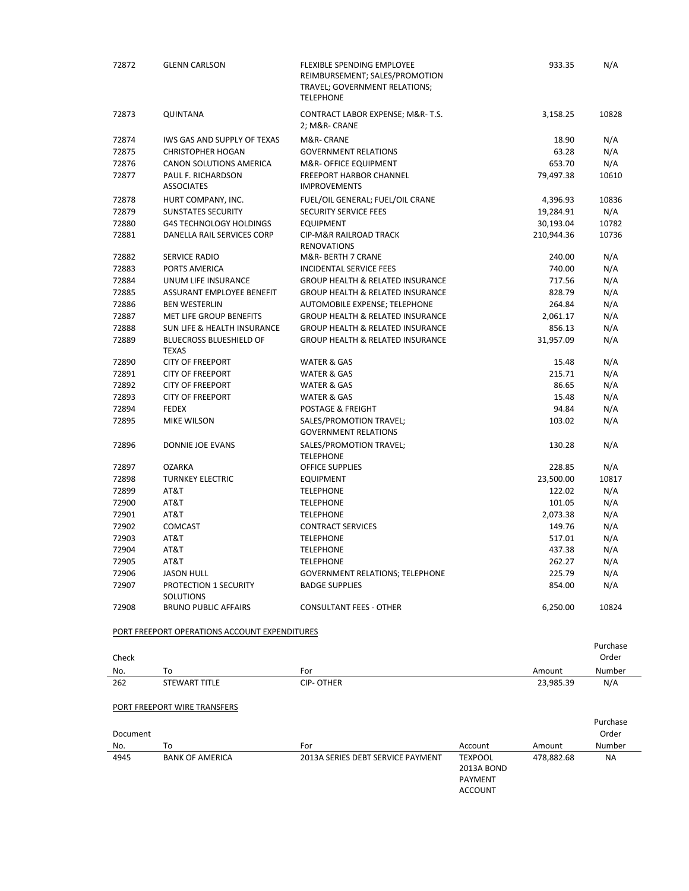| 72872        | <b>GLENN CARLSON</b>                           | FLEXIBLE SPENDING EMPLOYEE<br>REIMBURSEMENT; SALES/PROMOTION<br>TRAVEL; GOVERNMENT RELATIONS;<br><b>TELEPHONE</b> |                                                           | 933.35     | N/A             |
|--------------|------------------------------------------------|-------------------------------------------------------------------------------------------------------------------|-----------------------------------------------------------|------------|-----------------|
| 72873        | QUINTANA                                       | CONTRACT LABOR EXPENSE; M&R-T.S.<br>2; M&R- CRANE                                                                 |                                                           | 3,158.25   | 10828           |
| 72874        | IWS GAS AND SUPPLY OF TEXAS                    | M&R- CRANE                                                                                                        |                                                           | 18.90      | N/A             |
| 72875        | <b>CHRISTOPHER HOGAN</b>                       | <b>GOVERNMENT RELATIONS</b>                                                                                       |                                                           | 63.28      | N/A             |
| 72876        | <b>CANON SOLUTIONS AMERICA</b>                 | M&R- OFFICE EQUIPMENT                                                                                             |                                                           | 653.70     | N/A             |
| 72877        | PAUL F. RICHARDSON<br><b>ASSOCIATES</b>        | <b>FREEPORT HARBOR CHANNEL</b><br><b>IMPROVEMENTS</b>                                                             |                                                           | 79,497.38  | 10610           |
| 72878        | HURT COMPANY, INC.                             | FUEL/OIL GENERAL; FUEL/OIL CRANE                                                                                  |                                                           | 4,396.93   | 10836           |
| 72879        | <b>SUNSTATES SECURITY</b>                      | <b>SECURITY SERVICE FEES</b>                                                                                      |                                                           | 19,284.91  | N/A             |
| 72880        | <b>G4S TECHNOLOGY HOLDINGS</b>                 | <b>EQUIPMENT</b>                                                                                                  |                                                           | 30,193.04  | 10782           |
| 72881        | DANELLA RAIL SERVICES CORP                     | CIP-M&R RAILROAD TRACK<br><b>RENOVATIONS</b>                                                                      |                                                           | 210,944.36 | 10736           |
| 72882        | SERVICE RADIO                                  | M&R- BERTH 7 CRANE                                                                                                |                                                           | 240.00     | N/A             |
| 72883        | PORTS AMERICA                                  | INCIDENTAL SERVICE FEES                                                                                           |                                                           | 740.00     | N/A             |
| 72884        | UNUM LIFE INSURANCE                            | <b>GROUP HEALTH &amp; RELATED INSURANCE</b>                                                                       |                                                           | 717.56     | N/A             |
| 72885        | ASSURANT EMPLOYEE BENEFIT                      | GROUP HEALTH & RELATED INSURANCE                                                                                  |                                                           | 828.79     | N/A             |
| 72886        | <b>BEN WESTERLIN</b>                           | AUTOMOBILE EXPENSE; TELEPHONE                                                                                     |                                                           | 264.84     | N/A             |
| 72887        | MET LIFE GROUP BENEFITS                        | <b>GROUP HEALTH &amp; RELATED INSURANCE</b>                                                                       |                                                           | 2,061.17   | N/A             |
| 72888        | <b>SUN LIFE &amp; HEALTH INSURANCE</b>         | <b>GROUP HEALTH &amp; RELATED INSURANCE</b>                                                                       |                                                           | 856.13     | N/A             |
| 72889        | <b>BLUECROSS BLUESHIELD OF</b><br><b>TEXAS</b> | <b>GROUP HEALTH &amp; RELATED INSURANCE</b>                                                                       |                                                           | 31,957.09  | N/A             |
| 72890        | <b>CITY OF FREEPORT</b>                        | WATER & GAS                                                                                                       |                                                           | 15.48      | N/A             |
| 72891        | <b>CITY OF FREEPORT</b>                        | WATER & GAS                                                                                                       |                                                           | 215.71     | N/A             |
| 72892        | <b>CITY OF FREEPORT</b>                        | <b>WATER &amp; GAS</b>                                                                                            |                                                           | 86.65      | N/A             |
| 72893        | <b>CITY OF FREEPORT</b>                        | WATER & GAS                                                                                                       |                                                           | 15.48      | N/A             |
| 72894        | <b>FEDEX</b>                                   | POSTAGE & FREIGHT                                                                                                 |                                                           | 94.84      | N/A             |
| 72895        | MIKE WILSON                                    | SALES/PROMOTION TRAVEL;<br><b>GOVERNMENT RELATIONS</b>                                                            |                                                           | 103.02     | N/A             |
| 72896        | DONNIE JOE EVANS                               | SALES/PROMOTION TRAVEL;<br><b>TELEPHONE</b>                                                                       |                                                           | 130.28     | N/A             |
| 72897        | <b>OZARKA</b>                                  | <b>OFFICE SUPPLIES</b>                                                                                            |                                                           | 228.85     | N/A             |
| 72898        | <b>TURNKEY ELECTRIC</b>                        | <b>EQUIPMENT</b>                                                                                                  |                                                           | 23,500.00  | 10817           |
| 72899        | AT&T                                           | <b>TELEPHONE</b>                                                                                                  |                                                           | 122.02     | N/A             |
| 72900        | AT&T                                           | <b>TELEPHONE</b>                                                                                                  |                                                           | 101.05     | N/A             |
| 72901        | AT&T                                           | <b>TELEPHONE</b>                                                                                                  |                                                           | 2,073.38   | N/A             |
| 72902        | COMCAST                                        | <b>CONTRACT SERVICES</b>                                                                                          |                                                           | 149.76     | N/A             |
| 72903        | AT&T                                           | <b>TELEPHONE</b>                                                                                                  |                                                           | 517.01     | N/A             |
| 72904        | AT&T                                           | <b>TELEPHONE</b>                                                                                                  |                                                           | 437.38     | N/A             |
| 72905        | AT&T                                           | <b>TELEPHONE</b>                                                                                                  |                                                           | 262.27     | N/A             |
| 72906        | <b>JASON HULL</b>                              | <b>GOVERNMENT RELATIONS; TELEPHONE</b>                                                                            |                                                           | 225.79     | N/A             |
| 72907        | PROTECTION 1 SECURITY<br>SOLUTIONS             | <b>BADGE SUPPLIES</b>                                                                                             |                                                           | 854.00     | N/A             |
| 72908        | <b>BRUNO PUBLIC AFFAIRS</b>                    | <b>CONSULTANT FEES - OTHER</b>                                                                                    |                                                           | 6,250.00   | 10824           |
|              | PORT FREEPORT OPERATIONS ACCOUNT EXPENDITURES  |                                                                                                                   |                                                           |            | Purchase        |
| Check<br>No. | To                                             | For                                                                                                               |                                                           | Amount     | Order<br>Number |
| 262          | STEWART TITLE                                  | <b>CIP-OTHER</b>                                                                                                  |                                                           | 23,985.39  | N/A             |
|              | PORT FREEPORT WIRE TRANSFERS                   |                                                                                                                   |                                                           |            |                 |
|              |                                                |                                                                                                                   |                                                           |            | Purchase        |
| Document     |                                                |                                                                                                                   |                                                           |            | Order           |
| No.          | To                                             | For                                                                                                               | Account                                                   | Amount     | Number          |
| 4945         | <b>BANK OF AMERICA</b>                         | 2013A SERIES DEBT SERVICE PAYMENT                                                                                 | <b>TEXPOOL</b><br>2013A BOND<br>PAYMENT<br><b>ACCOUNT</b> | 478,882.68 | <b>NA</b>       |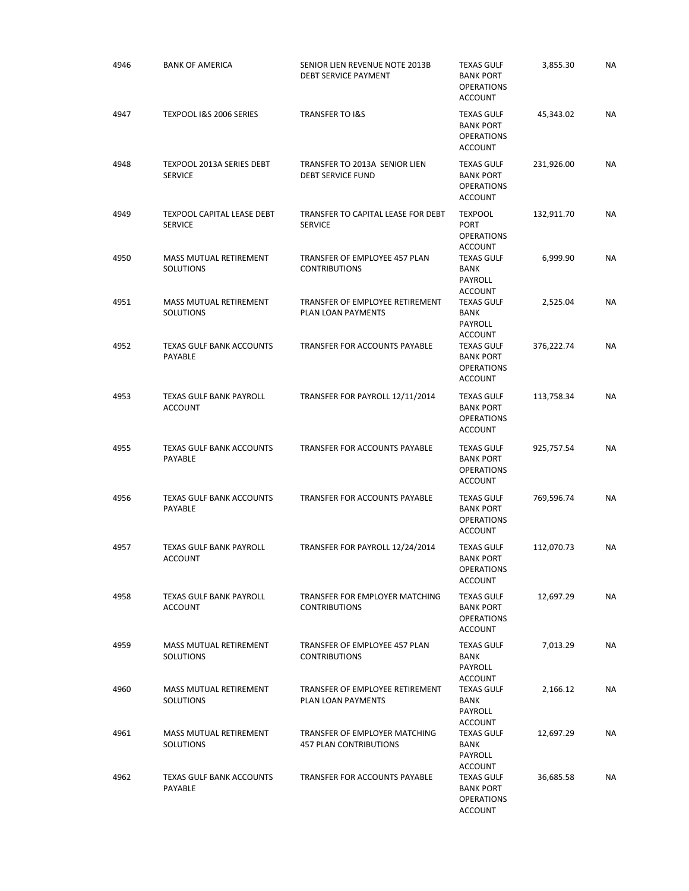| 4946 | <b>BANK OF AMERICA</b>                              | SENIOR LIEN REVENUE NOTE 2013B<br><b>DEBT SERVICE PAYMENT</b>  | <b>TEXAS GULF</b><br><b>BANK PORT</b><br><b>OPERATIONS</b><br><b>ACCOUNT</b> | 3,855.30   | NA        |
|------|-----------------------------------------------------|----------------------------------------------------------------|------------------------------------------------------------------------------|------------|-----------|
| 4947 | TEXPOOL I&S 2006 SERIES                             | <b>TRANSFER TO I&amp;S</b>                                     | <b>TEXAS GULF</b><br><b>BANK PORT</b><br><b>OPERATIONS</b><br><b>ACCOUNT</b> | 45,343.02  | <b>NA</b> |
| 4948 | TEXPOOL 2013A SERIES DEBT<br><b>SERVICE</b>         | TRANSFER TO 2013A SENIOR LIEN<br><b>DEBT SERVICE FUND</b>      | <b>TEXAS GULF</b><br><b>BANK PORT</b><br><b>OPERATIONS</b><br><b>ACCOUNT</b> | 231,926.00 | NA        |
| 4949 | <b>TEXPOOL CAPITAL LEASE DEBT</b><br><b>SERVICE</b> | TRANSFER TO CAPITAL LEASE FOR DEBT<br><b>SERVICE</b>           | <b>TEXPOOL</b><br><b>PORT</b><br><b>OPERATIONS</b><br><b>ACCOUNT</b>         | 132,911.70 | NA        |
| 4950 | MASS MUTUAL RETIREMENT<br>SOLUTIONS                 | TRANSFER OF EMPLOYEE 457 PLAN<br><b>CONTRIBUTIONS</b>          | <b>TEXAS GULF</b><br><b>BANK</b><br>PAYROLL<br><b>ACCOUNT</b>                | 6,999.90   | NA        |
| 4951 | MASS MUTUAL RETIREMENT<br><b>SOLUTIONS</b>          | TRANSFER OF EMPLOYEE RETIREMENT<br>PLAN LOAN PAYMENTS          | <b>TEXAS GULF</b><br><b>BANK</b><br>PAYROLL<br>ACCOUNT                       | 2,525.04   | <b>NA</b> |
| 4952 | <b>TEXAS GULF BANK ACCOUNTS</b><br>PAYABLE          | TRANSFER FOR ACCOUNTS PAYABLE                                  | <b>TEXAS GULF</b><br><b>BANK PORT</b><br><b>OPERATIONS</b><br><b>ACCOUNT</b> | 376,222.74 | NA        |
| 4953 | <b>TEXAS GULF BANK PAYROLL</b><br><b>ACCOUNT</b>    | TRANSFER FOR PAYROLL 12/11/2014                                | <b>TEXAS GULF</b><br><b>BANK PORT</b><br><b>OPERATIONS</b><br><b>ACCOUNT</b> | 113,758.34 | NA        |
| 4955 | TEXAS GULF BANK ACCOUNTS<br>PAYABLE                 | TRANSFER FOR ACCOUNTS PAYABLE                                  | <b>TEXAS GULF</b><br><b>BANK PORT</b><br><b>OPERATIONS</b><br><b>ACCOUNT</b> | 925,757.54 | <b>NA</b> |
| 4956 | <b>TEXAS GULF BANK ACCOUNTS</b><br>PAYABLE          | TRANSFER FOR ACCOUNTS PAYABLE                                  | <b>TEXAS GULF</b><br><b>BANK PORT</b><br><b>OPERATIONS</b><br><b>ACCOUNT</b> | 769,596.74 | NA        |
| 4957 | <b>TEXAS GULF BANK PAYROLL</b><br><b>ACCOUNT</b>    | TRANSFER FOR PAYROLL 12/24/2014                                | <b>TEXAS GULF</b><br><b>BANK PORT</b><br><b>OPERATIONS</b><br><b>ACCOUNT</b> | 112,070.73 | <b>NA</b> |
| 4958 | <b>TEXAS GULF BANK PAYROLL</b><br><b>ACCOUNT</b>    | TRANSFER FOR EMPLOYER MATCHING<br><b>CONTRIBUTIONS</b>         | <b>TEXAS GULF</b><br><b>BANK PORT</b><br><b>OPERATIONS</b><br><b>ACCOUNT</b> | 12,697.29  | <b>NA</b> |
| 4959 | MASS MUTUAL RETIREMENT<br>SOLUTIONS                 | TRANSFER OF EMPLOYEE 457 PLAN<br><b>CONTRIBUTIONS</b>          | <b>TEXAS GULF</b><br><b>BANK</b><br>PAYROLL<br><b>ACCOUNT</b>                | 7,013.29   | <b>NA</b> |
| 4960 | <b>MASS MUTUAL RETIREMENT</b><br>SOLUTIONS          | TRANSFER OF EMPLOYEE RETIREMENT<br>PLAN LOAN PAYMENTS          | <b>TEXAS GULF</b><br><b>BANK</b><br>PAYROLL<br><b>ACCOUNT</b>                | 2,166.12   | <b>NA</b> |
| 4961 | MASS MUTUAL RETIREMENT<br>SOLUTIONS                 | TRANSFER OF EMPLOYER MATCHING<br><b>457 PLAN CONTRIBUTIONS</b> | <b>TEXAS GULF</b><br>BANK<br>PAYROLL<br><b>ACCOUNT</b>                       | 12,697.29  | <b>NA</b> |
| 4962 | <b>TEXAS GULF BANK ACCOUNTS</b><br>PAYABLE          | TRANSFER FOR ACCOUNTS PAYABLE                                  | <b>TEXAS GULF</b><br><b>BANK PORT</b><br><b>OPERATIONS</b><br><b>ACCOUNT</b> | 36,685.58  | NA        |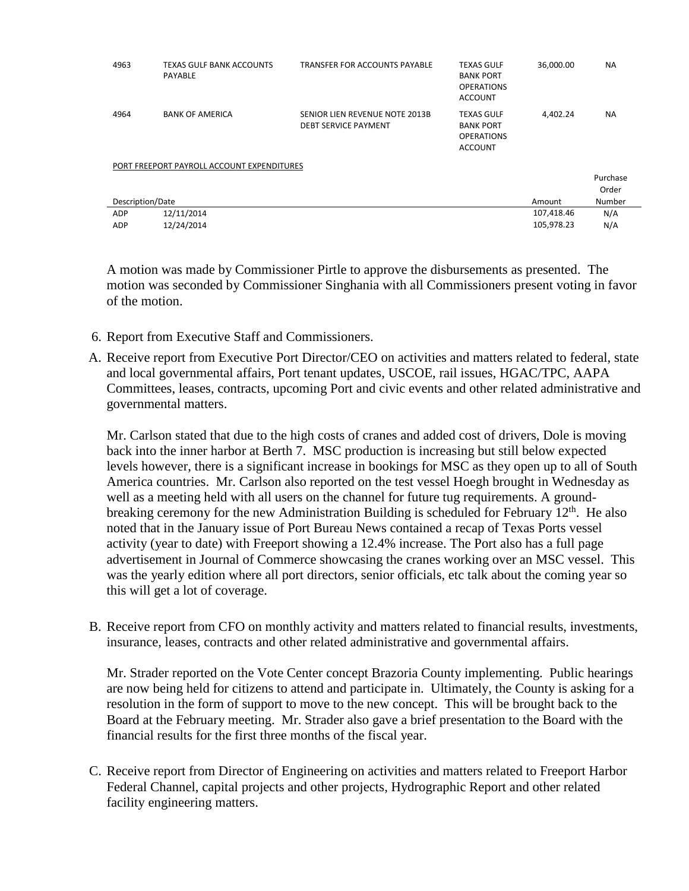| 4963                                       | TEXAS GULF BANK ACCOUNTS<br>PAYABLE | TRANSFER FOR ACCOUNTS PAYABLE                                 | <b>TEXAS GULF</b><br><b>BANK PORT</b><br><b>OPERATIONS</b><br><b>ACCOUNT</b> | 36,000.00  | <b>NA</b> |  |
|--------------------------------------------|-------------------------------------|---------------------------------------------------------------|------------------------------------------------------------------------------|------------|-----------|--|
| 4964                                       | <b>BANK OF AMERICA</b>              | SENIOR LIEN REVENUE NOTE 2013B<br><b>DEBT SERVICE PAYMENT</b> | <b>TEXAS GULF</b><br><b>BANK PORT</b><br><b>OPERATIONS</b><br><b>ACCOUNT</b> | 4.402.24   | <b>NA</b> |  |
| PORT FREEPORT PAYROLL ACCOUNT EXPENDITURES |                                     |                                                               |                                                                              |            |           |  |
|                                            |                                     |                                                               |                                                                              |            | Purchase  |  |
|                                            |                                     |                                                               |                                                                              |            | Order     |  |
| Description/Date                           |                                     |                                                               |                                                                              | Amount     | Number    |  |
| ADP                                        | 12/11/2014                          |                                                               |                                                                              | 107,418.46 | N/A       |  |
| <b>ADP</b>                                 | 12/24/2014                          |                                                               |                                                                              | 105,978.23 | N/A       |  |

A motion was made by Commissioner Pirtle to approve the disbursements as presented. The motion was seconded by Commissioner Singhania with all Commissioners present voting in favor of the motion.

- 6. Report from Executive Staff and Commissioners.
- A. Receive report from Executive Port Director/CEO on activities and matters related to federal, state and local governmental affairs, Port tenant updates, USCOE, rail issues, HGAC/TPC, AAPA Committees, leases, contracts, upcoming Port and civic events and other related administrative and governmental matters.

Mr. Carlson stated that due to the high costs of cranes and added cost of drivers, Dole is moving back into the inner harbor at Berth 7. MSC production is increasing but still below expected levels however, there is a significant increase in bookings for MSC as they open up to all of South America countries. Mr. Carlson also reported on the test vessel Hoegh brought in Wednesday as well as a meeting held with all users on the channel for future tug requirements. A groundbreaking ceremony for the new Administration Building is scheduled for February  $12<sup>th</sup>$ . He also noted that in the January issue of Port Bureau News contained a recap of Texas Ports vessel activity (year to date) with Freeport showing a 12.4% increase. The Port also has a full page advertisement in Journal of Commerce showcasing the cranes working over an MSC vessel. This was the yearly edition where all port directors, senior officials, etc talk about the coming year so this will get a lot of coverage.

B. Receive report from CFO on monthly activity and matters related to financial results, investments, insurance, leases, contracts and other related administrative and governmental affairs.

Mr. Strader reported on the Vote Center concept Brazoria County implementing. Public hearings are now being held for citizens to attend and participate in. Ultimately, the County is asking for a resolution in the form of support to move to the new concept. This will be brought back to the Board at the February meeting. Mr. Strader also gave a brief presentation to the Board with the financial results for the first three months of the fiscal year.

C. Receive report from Director of Engineering on activities and matters related to Freeport Harbor Federal Channel, capital projects and other projects, Hydrographic Report and other related facility engineering matters.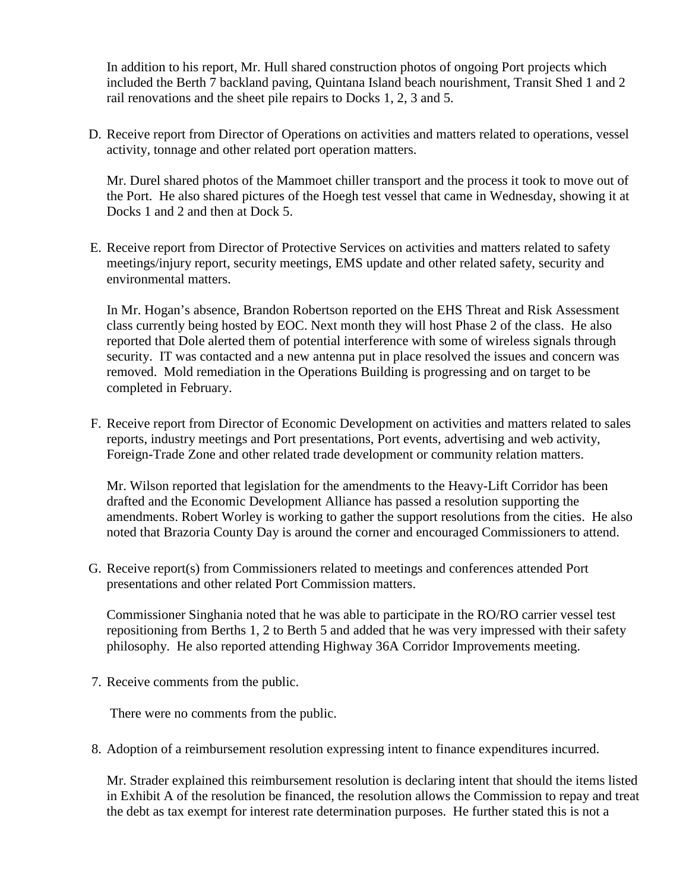In addition to his report, Mr. Hull shared construction photos of ongoing Port projects which included the Berth 7 backland paving, Quintana Island beach nourishment, Transit Shed 1 and 2 rail renovations and the sheet pile repairs to Docks 1, 2, 3 and 5.

D. Receive report from Director of Operations on activities and matters related to operations, vessel activity, tonnage and other related port operation matters.

Mr. Durel shared photos of the Mammoet chiller transport and the process it took to move out of the Port. He also shared pictures of the Hoegh test vessel that came in Wednesday, showing it at Docks 1 and 2 and then at Dock 5.

E. Receive report from Director of Protective Services on activities and matters related to safety meetings/injury report, security meetings, EMS update and other related safety, security and environmental matters.

In Mr. Hogan's absence, Brandon Robertson reported on the EHS Threat and Risk Assessment class currently being hosted by EOC. Next month they will host Phase 2 of the class. He also reported that Dole alerted them of potential interference with some of wireless signals through security. IT was contacted and a new antenna put in place resolved the issues and concern was removed. Mold remediation in the Operations Building is progressing and on target to be completed in February.

F. Receive report from Director of Economic Development on activities and matters related to sales reports, industry meetings and Port presentations, Port events, advertising and web activity, Foreign-Trade Zone and other related trade development or community relation matters.

Mr. Wilson reported that legislation for the amendments to the Heavy-Lift Corridor has been drafted and the Economic Development Alliance has passed a resolution supporting the amendments. Robert Worley is working to gather the support resolutions from the cities. He also noted that Brazoria County Day is around the corner and encouraged Commissioners to attend.

G. Receive report(s) from Commissioners related to meetings and conferences attended Port presentations and other related Port Commission matters.

Commissioner Singhania noted that he was able to participate in the RO/RO carrier vessel test repositioning from Berths 1, 2 to Berth 5 and added that he was very impressed with their safety philosophy. He also reported attending Highway 36A Corridor Improvements meeting.

7. Receive comments from the public.

There were no comments from the public.

8. Adoption of a reimbursement resolution expressing intent to finance expenditures incurred.

Mr. Strader explained this reimbursement resolution is declaring intent that should the items listed in Exhibit A of the resolution be financed, the resolution allows the Commission to repay and treat the debt as tax exempt for interest rate determination purposes. He further stated this is not a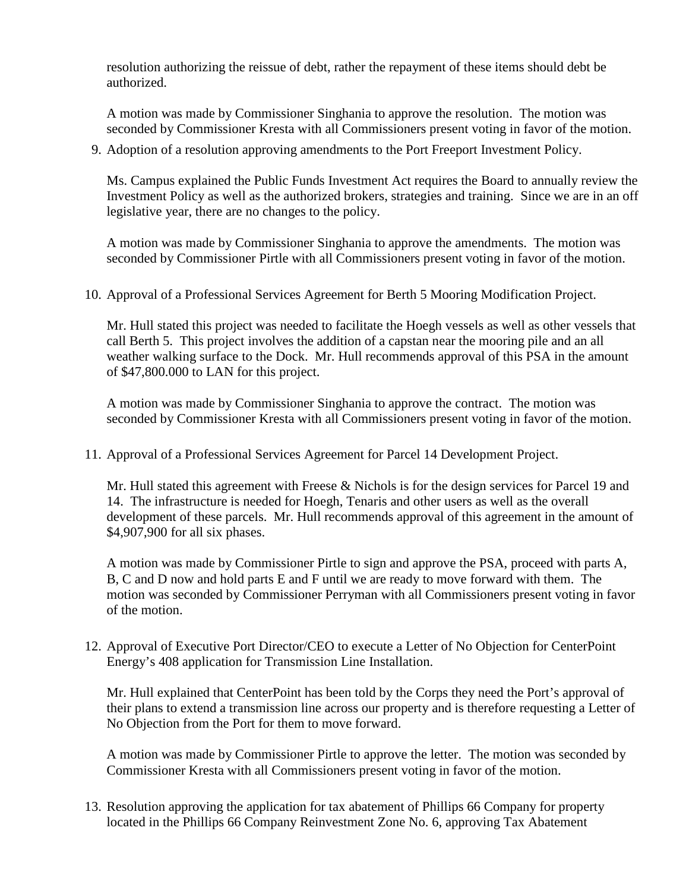resolution authorizing the reissue of debt, rather the repayment of these items should debt be authorized.

A motion was made by Commissioner Singhania to approve the resolution. The motion was seconded by Commissioner Kresta with all Commissioners present voting in favor of the motion.

9. Adoption of a resolution approving amendments to the Port Freeport Investment Policy.

Ms. Campus explained the Public Funds Investment Act requires the Board to annually review the Investment Policy as well as the authorized brokers, strategies and training. Since we are in an off legislative year, there are no changes to the policy.

A motion was made by Commissioner Singhania to approve the amendments. The motion was seconded by Commissioner Pirtle with all Commissioners present voting in favor of the motion.

10. Approval of a Professional Services Agreement for Berth 5 Mooring Modification Project.

Mr. Hull stated this project was needed to facilitate the Hoegh vessels as well as other vessels that call Berth 5. This project involves the addition of a capstan near the mooring pile and an all weather walking surface to the Dock. Mr. Hull recommends approval of this PSA in the amount of \$47,800.000 to LAN for this project.

A motion was made by Commissioner Singhania to approve the contract. The motion was seconded by Commissioner Kresta with all Commissioners present voting in favor of the motion.

11. Approval of a Professional Services Agreement for Parcel 14 Development Project.

Mr. Hull stated this agreement with Freese & Nichols is for the design services for Parcel 19 and 14. The infrastructure is needed for Hoegh, Tenaris and other users as well as the overall development of these parcels. Mr. Hull recommends approval of this agreement in the amount of \$4,907,900 for all six phases.

A motion was made by Commissioner Pirtle to sign and approve the PSA, proceed with parts A, B, C and D now and hold parts E and F until we are ready to move forward with them. The motion was seconded by Commissioner Perryman with all Commissioners present voting in favor of the motion.

12. Approval of Executive Port Director/CEO to execute a Letter of No Objection for CenterPoint Energy's 408 application for Transmission Line Installation.

Mr. Hull explained that CenterPoint has been told by the Corps they need the Port's approval of their plans to extend a transmission line across our property and is therefore requesting a Letter of No Objection from the Port for them to move forward.

A motion was made by Commissioner Pirtle to approve the letter. The motion was seconded by Commissioner Kresta with all Commissioners present voting in favor of the motion.

13. Resolution approving the application for tax abatement of Phillips 66 Company for property located in the Phillips 66 Company Reinvestment Zone No. 6, approving Tax Abatement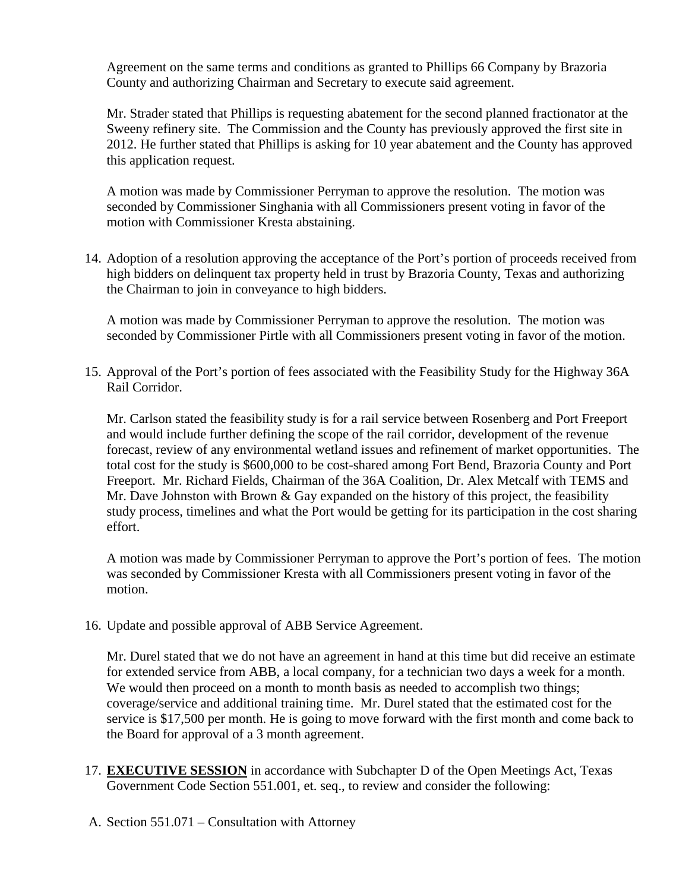Agreement on the same terms and conditions as granted to Phillips 66 Company by Brazoria County and authorizing Chairman and Secretary to execute said agreement.

Mr. Strader stated that Phillips is requesting abatement for the second planned fractionator at the Sweeny refinery site. The Commission and the County has previously approved the first site in 2012. He further stated that Phillips is asking for 10 year abatement and the County has approved this application request.

A motion was made by Commissioner Perryman to approve the resolution. The motion was seconded by Commissioner Singhania with all Commissioners present voting in favor of the motion with Commissioner Kresta abstaining.

14. Adoption of a resolution approving the acceptance of the Port's portion of proceeds received from high bidders on delinquent tax property held in trust by Brazoria County, Texas and authorizing the Chairman to join in conveyance to high bidders.

A motion was made by Commissioner Perryman to approve the resolution. The motion was seconded by Commissioner Pirtle with all Commissioners present voting in favor of the motion.

15. Approval of the Port's portion of fees associated with the Feasibility Study for the Highway 36A Rail Corridor.

Mr. Carlson stated the feasibility study is for a rail service between Rosenberg and Port Freeport and would include further defining the scope of the rail corridor, development of the revenue forecast, review of any environmental wetland issues and refinement of market opportunities. The total cost for the study is \$600,000 to be cost-shared among Fort Bend, Brazoria County and Port Freeport. Mr. Richard Fields, Chairman of the 36A Coalition, Dr. Alex Metcalf with TEMS and Mr. Dave Johnston with Brown  $\&$  Gay expanded on the history of this project, the feasibility study process, timelines and what the Port would be getting for its participation in the cost sharing effort.

A motion was made by Commissioner Perryman to approve the Port's portion of fees. The motion was seconded by Commissioner Kresta with all Commissioners present voting in favor of the motion.

16. Update and possible approval of ABB Service Agreement.

Mr. Durel stated that we do not have an agreement in hand at this time but did receive an estimate for extended service from ABB, a local company, for a technician two days a week for a month. We would then proceed on a month to month basis as needed to accomplish two things; coverage/service and additional training time. Mr. Durel stated that the estimated cost for the service is \$17,500 per month. He is going to move forward with the first month and come back to the Board for approval of a 3 month agreement.

- 17. **EXECUTIVE SESSION** in accordance with Subchapter D of the Open Meetings Act, Texas Government Code Section 551.001, et. seq., to review and consider the following:
- A. Section 551.071 Consultation with Attorney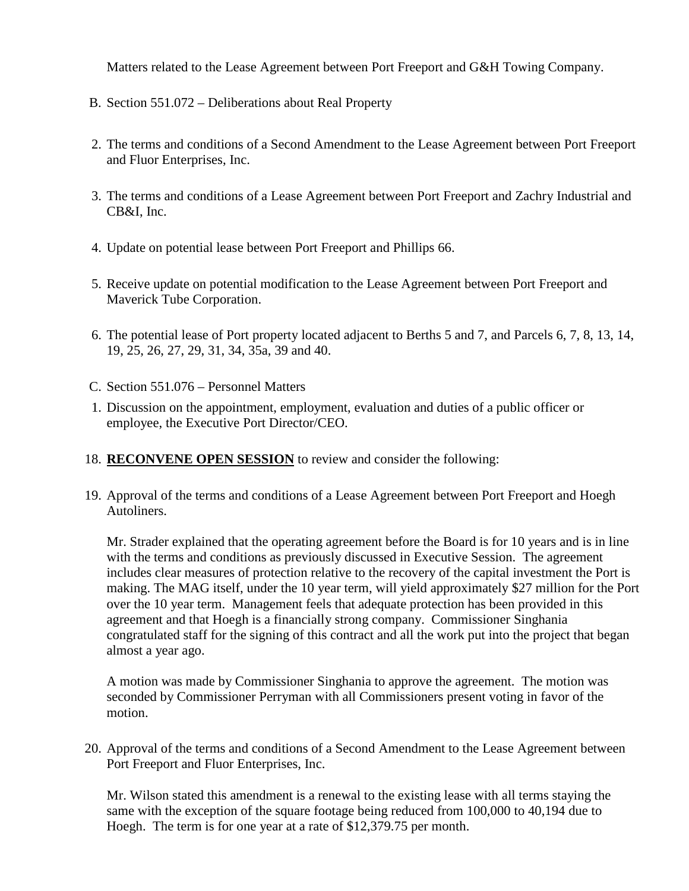Matters related to the Lease Agreement between Port Freeport and G&H Towing Company.

- B. Section 551.072 Deliberations about Real Property
- 2. The terms and conditions of a Second Amendment to the Lease Agreement between Port Freeport and Fluor Enterprises, Inc.
- 3. The terms and conditions of a Lease Agreement between Port Freeport and Zachry Industrial and CB&I, Inc.
- 4. Update on potential lease between Port Freeport and Phillips 66.
- 5. Receive update on potential modification to the Lease Agreement between Port Freeport and Maverick Tube Corporation.
- 6. The potential lease of Port property located adjacent to Berths 5 and 7, and Parcels 6, 7, 8, 13, 14, 19, 25, 26, 27, 29, 31, 34, 35a, 39 and 40.
- C. Section 551.076 Personnel Matters
- 1. Discussion on the appointment, employment, evaluation and duties of a public officer or employee, the Executive Port Director/CEO.
- 18. **RECONVENE OPEN SESSION** to review and consider the following:
- 19. Approval of the terms and conditions of a Lease Agreement between Port Freeport and Hoegh Autoliners.

Mr. Strader explained that the operating agreement before the Board is for 10 years and is in line with the terms and conditions as previously discussed in Executive Session. The agreement includes clear measures of protection relative to the recovery of the capital investment the Port is making. The MAG itself, under the 10 year term, will yield approximately \$27 million for the Port over the 10 year term. Management feels that adequate protection has been provided in this agreement and that Hoegh is a financially strong company. Commissioner Singhania congratulated staff for the signing of this contract and all the work put into the project that began almost a year ago.

A motion was made by Commissioner Singhania to approve the agreement. The motion was seconded by Commissioner Perryman with all Commissioners present voting in favor of the motion.

20. Approval of the terms and conditions of a Second Amendment to the Lease Agreement between Port Freeport and Fluor Enterprises, Inc.

Mr. Wilson stated this amendment is a renewal to the existing lease with all terms staying the same with the exception of the square footage being reduced from 100,000 to 40,194 due to Hoegh. The term is for one year at a rate of \$12,379.75 per month.